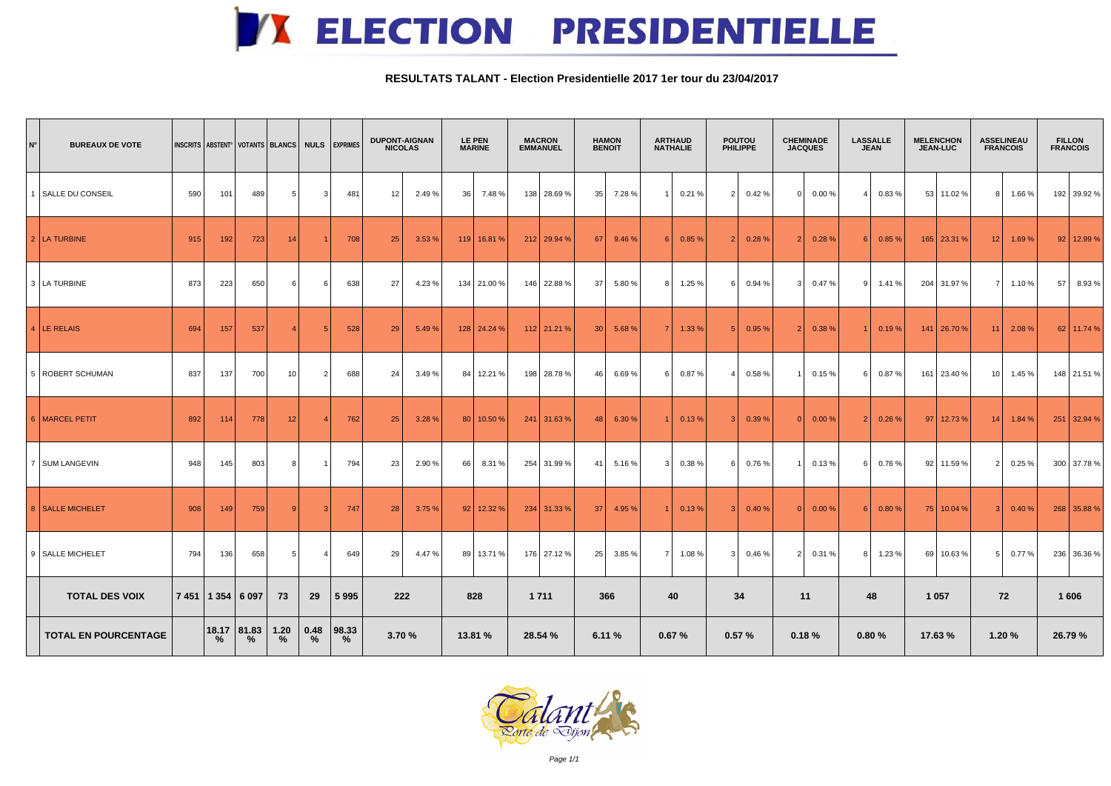## **K ELECTION PRESIDENTIELLE**

## **RESULTATS TALANT - Election Presidentielle 2017 1er tour du 23/04/2017**

| $\mathsf{N}^\circ$          | <b>BUREAUX DE VOTE</b> | INSCRITS ABSTENT <sup>°</sup>   VOTANTS   BLANCS   NULS   EXPRIMES |     |                                                                                 |                   | <b>DUPONT-AIGNAN</b><br><b>NICOLAS</b> |                | <b>LE PEN</b><br><b>MARINE</b> |        | <b>MACRON</b><br><b>EMMANUEL</b> |                 | <b>HAMON</b><br><b>BENOIT</b> |               | <b>ARTHAUD</b><br><b>NATHALIE</b> |        | <b>POUTOU</b><br><b>PHILIPPE</b> |          | <b>CHEMINADE</b><br><b>JACQUES</b> |        | <b>LASSALLE</b><br><b>JEAN</b> |                  | <b>MELENCHON</b><br><b>JEAN-LUC</b> |            | <b>ASSELINEAU</b><br><b>FRANCOIS</b> |               | <b>FILLON</b><br><b>FRANCOIS</b> |               |         |                |
|-----------------------------|------------------------|--------------------------------------------------------------------|-----|---------------------------------------------------------------------------------|-------------------|----------------------------------------|----------------|--------------------------------|--------|----------------------------------|-----------------|-------------------------------|---------------|-----------------------------------|--------|----------------------------------|----------|------------------------------------|--------|--------------------------------|------------------|-------------------------------------|------------|--------------------------------------|---------------|----------------------------------|---------------|---------|----------------|
|                             | 1 SALLE DU CONSEIL     | 590                                                                | 101 | 489                                                                             | 5 <sup>1</sup>    |                                        | 481            | 12                             | 2.49%  | 36                               | 7.48%           |                               | 138 28.69 %   | 35                                | 7.28%  |                                  | 0.21%    | 2 <sup>1</sup>                     | 0.42%  | $\Omega$                       | 0.00%            |                                     | 0.83%      |                                      | 53 11.02 %    | 8 <sup>1</sup>                   | 1.66%         |         | 192 39.92 %    |
|                             | 2   LA TURBINE         | 915                                                                | 192 | 723                                                                             | 14                |                                        | 708            | 25                             | 3.53%  |                                  | $119$   16.81 % |                               | $212$ 29.94 % | 67 L                              | 9.46%  | 6                                | 0.85%    | 2                                  | 0.28%  | 2                              | 0.28%            | 6                                   | 0.85%      |                                      | $165$ 23.31 % | 12 <sub>1</sub>                  | 1.69%         |         | $92$   12.99 % |
|                             | 3   LA TURBINE         | 873                                                                | 223 | 650                                                                             | 6                 |                                        | 638            | 27                             | 4.23 % |                                  | 134 21.00 %     |                               | 146 22.88 %   | -37 I                             | 5.80%  | 81                               | 1.25 %   | 6                                  | 0.94 % | 3                              | 0.47%            | 9                                   | 1.41%      |                                      | 204 31.97 %   | 7 L                              | 1.10%         | 57      | 8.93 %         |
|                             | $ 4 $ LE RELAIS        | 694                                                                | 157 | 537                                                                             |                   |                                        | 528            | 29                             | 5.49%  |                                  | $128$ 24.24 %   |                               | $112$ 21.21 % | 30 <sup>1</sup>                   | 5.68%  |                                  | 1.33%    |                                    | 0.95 % | 2                              | 0.38 %           |                                     | 0.19%      |                                      | $141$ 26.70 % | 11 <sup>1</sup>                  | 2.08 %        |         | $62$ 11.74 %   |
|                             | 5   ROBERT SCHUMAN     | 837                                                                | 137 | 700                                                                             | 10 <sup>1</sup>   |                                        | 688            | 24                             | 3.49%  |                                  | 84 12.21 %      |                               | 198 28.78 %   | 46 I                              | 6.69%  | 6 I                              | 0.87%    | 4 I                                | 0.58%  | 1                              | 0.15%            | - 6 I                               | $0.87\ \%$ |                                      | 161 23.40 %   |                                  | $10$   1.45 % |         | 148 21.51 %    |
|                             | 6   MARCEL PETIT       | 892                                                                | 114 | 778                                                                             | 12                |                                        | 762            | 25                             | 3.28 % |                                  | 80 10.50%       |                               | $241$ 31.63 % | 48                                | 6.30 % |                                  | 0.13%    | -3 I                               | 0.39 % | 0                              | 0.00%            | 2 <sub>1</sub>                      | 0.26%      |                                      | $97$ 12.73 %  | 14 <sup>1</sup>                  | 1.84%         |         | 251 32.94 %    |
|                             | 7   SUM LANGEVIN       | 948                                                                | 145 | 803                                                                             | 8                 |                                        | 794            | 23                             | 2.90%  | 66                               | 8.31 %          |                               | 254 31.99 %   | 41 I                              | 5.16%  | 3                                | 0.38%    | - 6 I                              | 0.76%  | $\overline{1}$                 | 0.13%            | - 6 I                               | 0.76%      |                                      | $92$ 11.59 %  | 2 <sub>1</sub>                   | 0.25%         |         | 300 37.78 %    |
|                             | 8   SALLE MICHELET     | 908                                                                | 149 | 759                                                                             |                   |                                        | 747            | 28                             | 3.75%  |                                  | $92$ 12.32 %    |                               | $234$ 31.33 % | 37 <sup>1</sup>                   | 4.95 % |                                  | 0.13%    | -3 I                               | 0.40%  | $\overline{0}$                 | 0.00%            | $6 \mid$                            | 0.80%      |                                      | $75$ 10.04 %  | 3 <sup>1</sup>                   | 0.40%         |         | 268 35.88 %    |
|                             | 9 SALLE MICHELET       | 794                                                                | 136 | 658                                                                             | 5 <sup>1</sup>    | 41                                     | 649            | 29                             | 4.47 % |                                  | 89 13.71 %      |                               | 176 27.12 %   | 25                                | 3.85 % | 7 <sup>1</sup>                   | 1.08 $%$ | 3 <sup>1</sup>                     | 0.46%  |                                | $2 \mid 0.31 \%$ | 8                                   | 1.23%      |                                      | 69 10.63 %    | 5 <sup>1</sup>                   | 0.77%         |         | 236 36.36 %    |
|                             | <b>TOTAL DES VOIX</b>  |                                                                    |     | 7 451   1 354   6 097                                                           | 73                | 29                                     | 5 9 9 5        | 222                            |        |                                  | 828             | 1 7 1 1                       |               | 366                               |        | 40                               |          | 34                                 |        | 11                             |                  | 48                                  |            | 1 0 5 7                              |               | 72                               |               | 1 606   |                |
| <b>TOTAL EN POURCENTAGE</b> |                        |                                                                    |     | $\begin{array}{ c c c }\n\hline\n18.17 & 81.83 \\ % & \% & \hline\n\end{array}$ | $\frac{1.20}{\%}$ | 0.48<br>$\%$                           | 98.33 <br>$\%$ | 3.70 %                         |        | 13.81 %                          |                 | 28.54 %                       |               | 6.11 %                            |        | 0.67%                            |          | 0.57%                              |        | 0.18%                          |                  | 0.80%                               |            | 17.63 %                              |               | 1.20 %                           |               | 26.79 % |                |